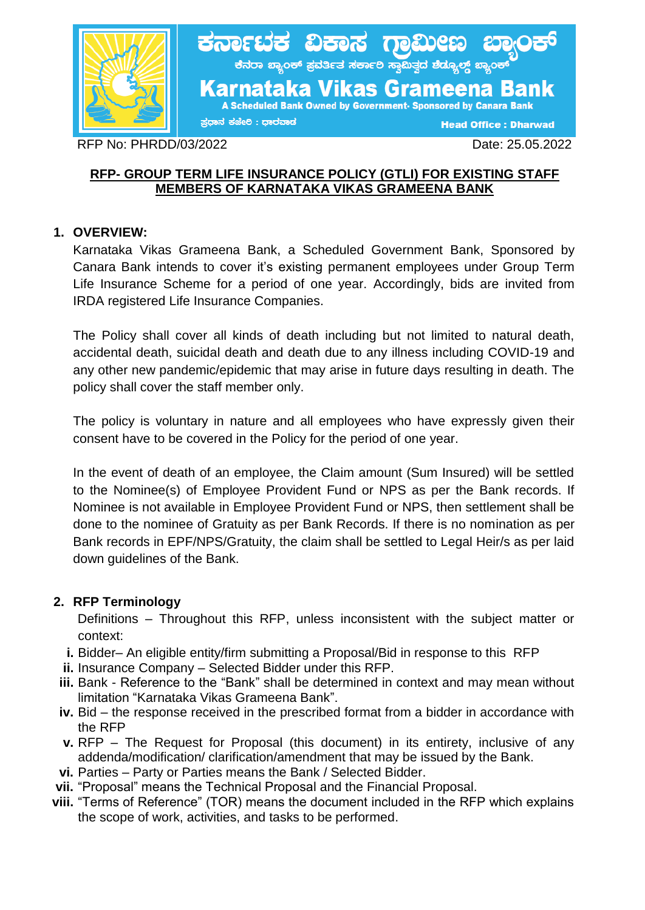

RFP No: PHRDD/03/2022 Date: 25.05.2022

### **RFP- GROUP TERM LIFE INSURANCE POLICY (GTLI) FOR EXISTING STAFF MEMBERS OF KARNATAKA VIKAS GRAMEENA BANK**

# **1. OVERVIEW:**

Karnataka Vikas Grameena Bank, a Scheduled Government Bank, Sponsored by Canara Bank intends to cover it's existing permanent employees under Group Term Life Insurance Scheme for a period of one year. Accordingly, bids are invited from IRDA registered Life Insurance Companies.

The Policy shall cover all kinds of death including but not limited to natural death, accidental death, suicidal death and death due to any illness including COVID-19 and any other new pandemic/epidemic that may arise in future days resulting in death. The policy shall cover the staff member only.

The policy is voluntary in nature and all employees who have expressly given their consent have to be covered in the Policy for the period of one year.

In the event of death of an employee, the Claim amount (Sum Insured) will be settled to the Nominee(s) of Employee Provident Fund or NPS as per the Bank records. If Nominee is not available in Employee Provident Fund or NPS, then settlement shall be done to the nominee of Gratuity as per Bank Records. If there is no nomination as per Bank records in EPF/NPS/Gratuity, the claim shall be settled to Legal Heir/s as per laid down guidelines of the Bank.

### **2. RFP Terminology**

 Definitions – Throughout this RFP, unless inconsistent with the subject matter or context:

- **i.** Bidder– An eligible entity/firm submitting a Proposal/Bid in response to this RFP
- **ii.** Insurance Company Selected Bidder under this RFP.
- **iii.** Bank Reference to the "Bank" shall be determined in context and may mean without limitation "Karnataka Vikas Grameena Bank".
- **iv.** Bid the response received in the prescribed format from a bidder in accordance with the RFP
- **v.** RFP The Request for Proposal (this document) in its entirety, inclusive of any addenda/modification/ clarification/amendment that may be issued by the Bank.
- **vi.** Parties Party or Parties means the Bank / Selected Bidder.
- **vii.** "Proposal" means the Technical Proposal and the Financial Proposal.
- **viii.** "Terms of Reference" (TOR) means the document included in the RFP which explains the scope of work, activities, and tasks to be performed.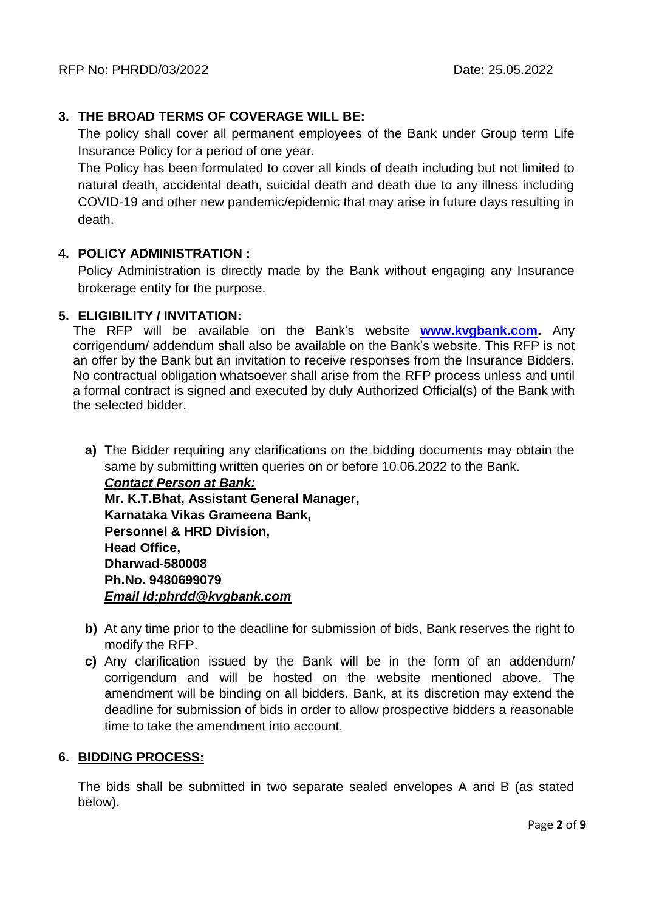# **3. THE BROAD TERMS OF COVERAGE WILL BE:**

The policy shall cover all permanent employees of the Bank under Group term Life Insurance Policy for a period of one year.

The Policy has been formulated to cover all kinds of death including but not limited to natural death, accidental death, suicidal death and death due to any illness including COVID-19 and other new pandemic/epidemic that may arise in future days resulting in death.

### **4. POLICY ADMINISTRATION :**

Policy Administration is directly made by the Bank without engaging any Insurance brokerage entity for the purpose.

### **5. ELIGIBILITY / INVITATION:**

The RFP will be available on the Bank's website **[www.kvgbank.com.](http://www.kvgbank.com/)** Any corrigendum/ addendum shall also be available on the Bank's website. This RFP is not an offer by the Bank but an invitation to receive responses from the Insurance Bidders. No contractual obligation whatsoever shall arise from the RFP process unless and until a formal contract is signed and executed by duly Authorized Official(s) of the Bank with the selected bidder.

**a)** The Bidder requiring any clarifications on the bidding documents may obtain the same by submitting written queries on or before 10.06.2022 to the Bank.

*Contact Person at Bank:* **Mr. K.T.Bhat, Assistant General Manager, Karnataka Vikas Grameena Bank, Personnel & HRD Division, Head Office, Dharwad-580008 Ph.No. 9480699079** *Email Id:phrdd@kvgbank.com*

- **b)** At any time prior to the deadline for submission of bids, Bank reserves the right to modify the RFP.
- **c)** Any clarification issued by the Bank will be in the form of an addendum/ corrigendum and will be hosted on the website mentioned above. The amendment will be binding on all bidders. Bank, at its discretion may extend the deadline for submission of bids in order to allow prospective bidders a reasonable time to take the amendment into account.

### **6. BIDDING PROCESS:**

The bids shall be submitted in two separate sealed envelopes A and B (as stated below).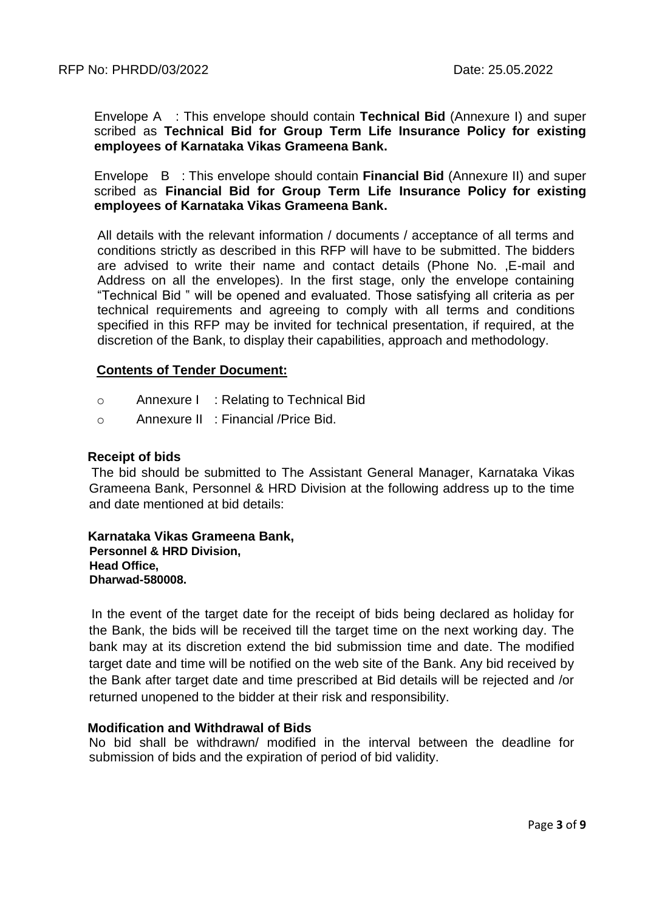Envelope A : This envelope should contain **Technical Bid** (Annexure I) and super scribed as **Technical Bid for Group Term Life Insurance Policy for existing employees of Karnataka Vikas Grameena Bank.**

Envelope B : This envelope should contain **Financial Bid** (Annexure II) and super scribed as **Financial Bid for Group Term Life Insurance Policy for existing employees of Karnataka Vikas Grameena Bank.**

All details with the relevant information / documents / acceptance of all terms and conditions strictly as described in this RFP will have to be submitted. The bidders are advised to write their name and contact details (Phone No. ,E-mail and Address on all the envelopes). In the first stage, only the envelope containing "Technical Bid " will be opened and evaluated. Those satisfying all criteria as per technical requirements and agreeing to comply with all terms and conditions specified in this RFP may be invited for technical presentation, if required, at the discretion of the Bank, to display their capabilities, approach and methodology.

#### **Contents of Tender Document:**

- o Annexure I : Relating to Technical Bid
- o Annexure II : Financial /Price Bid.

#### **Receipt of bids**

 The bid should be submitted to The Assistant General Manager, Karnataka Vikas Grameena Bank, Personnel & HRD Division at the following address up to the time and date mentioned at bid details:

 **Karnataka Vikas Grameena Bank, Personnel & HRD Division, Head Office, Dharwad-580008.**

 In the event of the target date for the receipt of bids being declared as holiday for the Bank, the bids will be received till the target time on the next working day. The bank may at its discretion extend the bid submission time and date. The modified target date and time will be notified on the web site of the Bank. Any bid received by the Bank after target date and time prescribed at Bid details will be rejected and /or returned unopened to the bidder at their risk and responsibility.

#### **Modification and Withdrawal of Bids**

No bid shall be withdrawn/ modified in the interval between the deadline for submission of bids and the expiration of period of bid validity.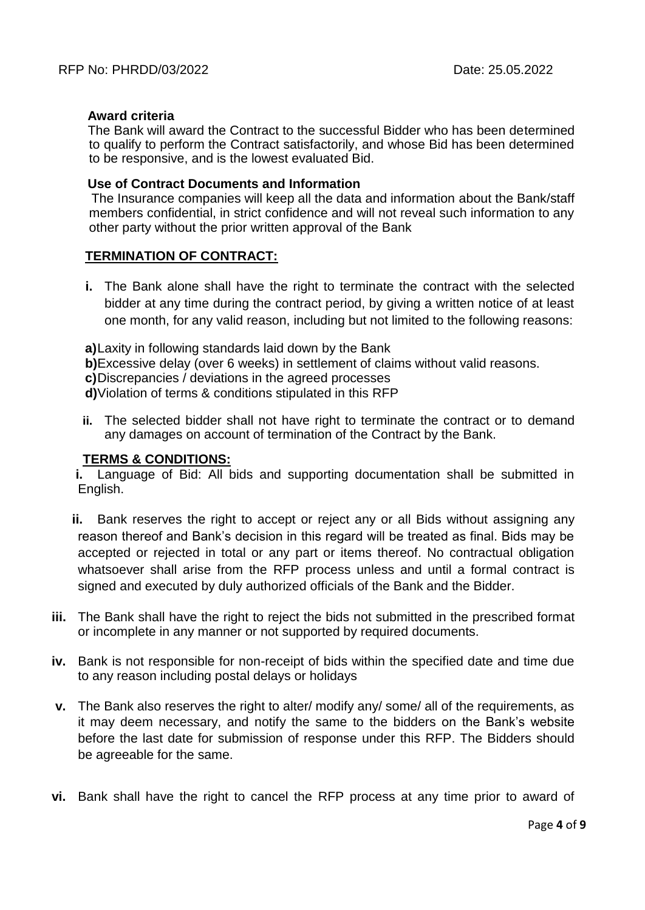#### **Award criteria**

 The Bank will award the Contract to the successful Bidder who has been determined to qualify to perform the Contract satisfactorily, and whose Bid has been determined to be responsive, and is the lowest evaluated Bid.

#### **Use of Contract Documents and Information**

 The Insurance companies will keep all the data and information about the Bank/staff members confidential, in strict confidence and will not reveal such information to any other party without the prior written approval of the Bank

#### **TERMINATION OF CONTRACT:**

**i.** The Bank alone shall have the right to terminate the contract with the selected bidder at any time during the contract period, by giving a written notice of at least one month, for any valid reason, including but not limited to the following reasons:

**a)**Laxity in following standards laid down by the Bank

**b)**Excessive delay (over 6 weeks) in settlement of claims without valid reasons.

**c)**Discrepancies / deviations in the agreed processes

**d)**Violation of terms & conditions stipulated in this RFP

**ii.** The selected bidder shall not have right to terminate the contract or to demand any damages on account of termination of the Contract by the Bank.

#### **TERMS & CONDITIONS:**

**i.** Language of Bid: All bids and supporting documentation shall be submitted in English.

- **ii.** Bank reserves the right to accept or reject any or all Bids without assigning any reason thereof and Bank's decision in this regard will be treated as final. Bids may be accepted or rejected in total or any part or items thereof. No contractual obligation whatsoever shall arise from the RFP process unless and until a formal contract is signed and executed by duly authorized officials of the Bank and the Bidder.
- **iii.** The Bank shall have the right to reject the bids not submitted in the prescribed format or incomplete in any manner or not supported by required documents.
- **iv.** Bank is not responsible for non-receipt of bids within the specified date and time due to any reason including postal delays or holidays
- **v.** The Bank also reserves the right to alter/ modify any/ some/ all of the requirements, as it may deem necessary, and notify the same to the bidders on the Bank's website before the last date for submission of response under this RFP. The Bidders should be agreeable for the same.
- **vi.** Bank shall have the right to cancel the RFP process at any time prior to award of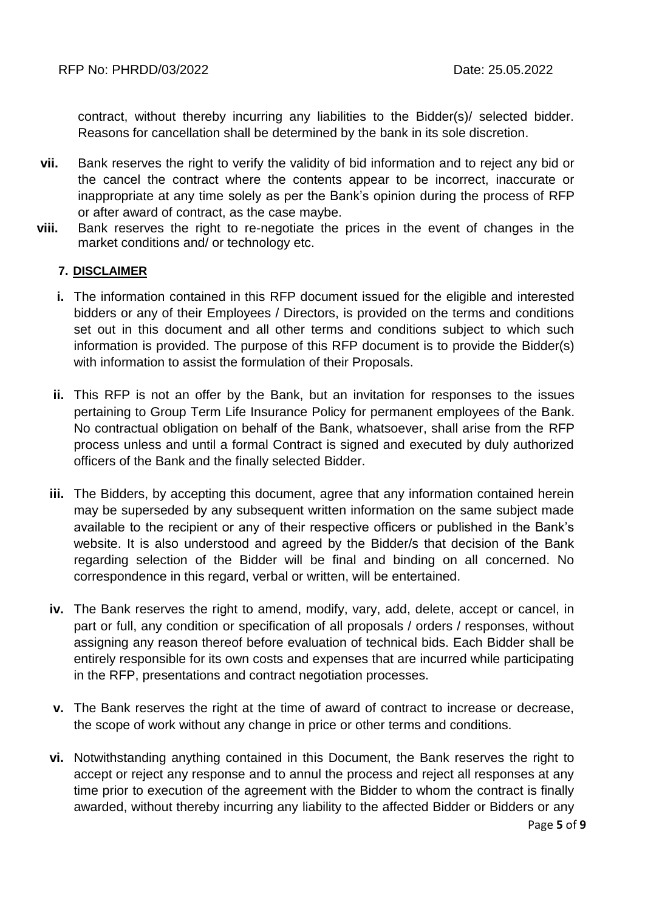contract, without thereby incurring any liabilities to the Bidder(s)/ selected bidder. Reasons for cancellation shall be determined by the bank in its sole discretion.

- **vii.** Bank reserves the right to verify the validity of bid information and to reject any bid or the cancel the contract where the contents appear to be incorrect, inaccurate or inappropriate at any time solely as per the Bank's opinion during the process of RFP or after award of contract, as the case maybe.
- **viii.** Bank reserves the right to re-negotiate the prices in the event of changes in the market conditions and/ or technology etc.

#### **7. DISCLAIMER**

- **i.** The information contained in this RFP document issued for the eligible and interested bidders or any of their Employees / Directors, is provided on the terms and conditions set out in this document and all other terms and conditions subject to which such information is provided. The purpose of this RFP document is to provide the Bidder(s) with information to assist the formulation of their Proposals.
- **ii.** This RFP is not an offer by the Bank, but an invitation for responses to the issues pertaining to Group Term Life Insurance Policy for permanent employees of the Bank. No contractual obligation on behalf of the Bank, whatsoever, shall arise from the RFP process unless and until a formal Contract is signed and executed by duly authorized officers of the Bank and the finally selected Bidder.
- **iii.** The Bidders, by accepting this document, agree that any information contained herein may be superseded by any subsequent written information on the same subject made available to the recipient or any of their respective officers or published in the Bank's website. It is also understood and agreed by the Bidder/s that decision of the Bank regarding selection of the Bidder will be final and binding on all concerned. No correspondence in this regard, verbal or written, will be entertained.
- **iv.** The Bank reserves the right to amend, modify, vary, add, delete, accept or cancel, in part or full, any condition or specification of all proposals / orders / responses, without assigning any reason thereof before evaluation of technical bids. Each Bidder shall be entirely responsible for its own costs and expenses that are incurred while participating in the RFP, presentations and contract negotiation processes.
- **v.** The Bank reserves the right at the time of award of contract to increase or decrease, the scope of work without any change in price or other terms and conditions.
- **vi.** Notwithstanding anything contained in this Document, the Bank reserves the right to accept or reject any response and to annul the process and reject all responses at any time prior to execution of the agreement with the Bidder to whom the contract is finally awarded, without thereby incurring any liability to the affected Bidder or Bidders or any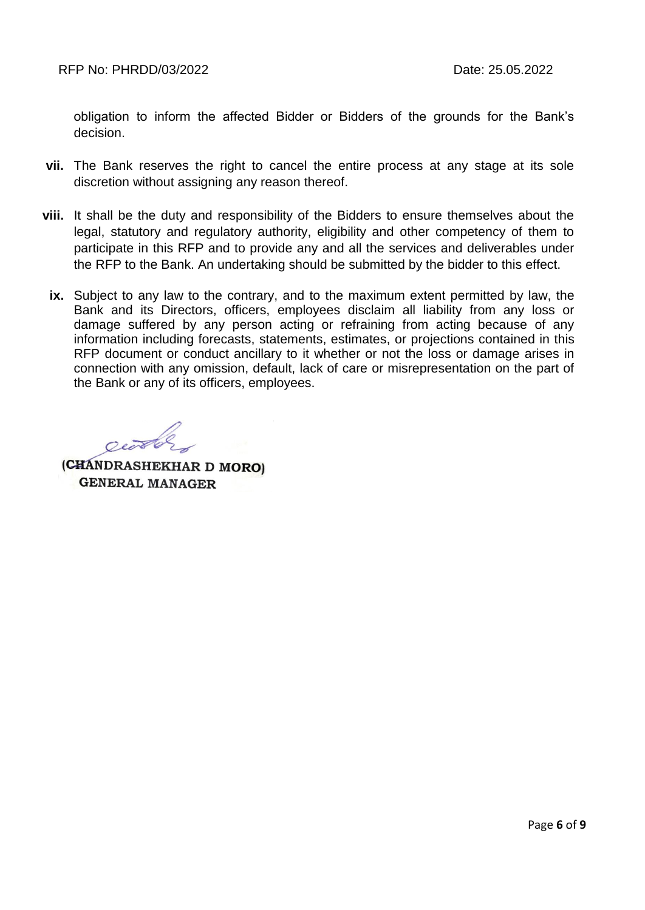obligation to inform the affected Bidder or Bidders of the grounds for the Bank's decision.

- **vii.** The Bank reserves the right to cancel the entire process at any stage at its sole discretion without assigning any reason thereof.
- **viii.** It shall be the duty and responsibility of the Bidders to ensure themselves about the legal, statutory and regulatory authority, eligibility and other competency of them to participate in this RFP and to provide any and all the services and deliverables under the RFP to the Bank. An undertaking should be submitted by the bidder to this effect.
	- **ix.** Subject to any law to the contrary, and to the maximum extent permitted by law, the Bank and its Directors, officers, employees disclaim all liability from any loss or damage suffered by any person acting or refraining from acting because of any information including forecasts, statements, estimates, or projections contained in this RFP document or conduct ancillary to it whether or not the loss or damage arises in connection with any omission, default, lack of care or misrepresentation on the part of the Bank or any of its officers, employees.

entos

(CHANDRASHEKHAR D MORO) **GENERAL MANAGER**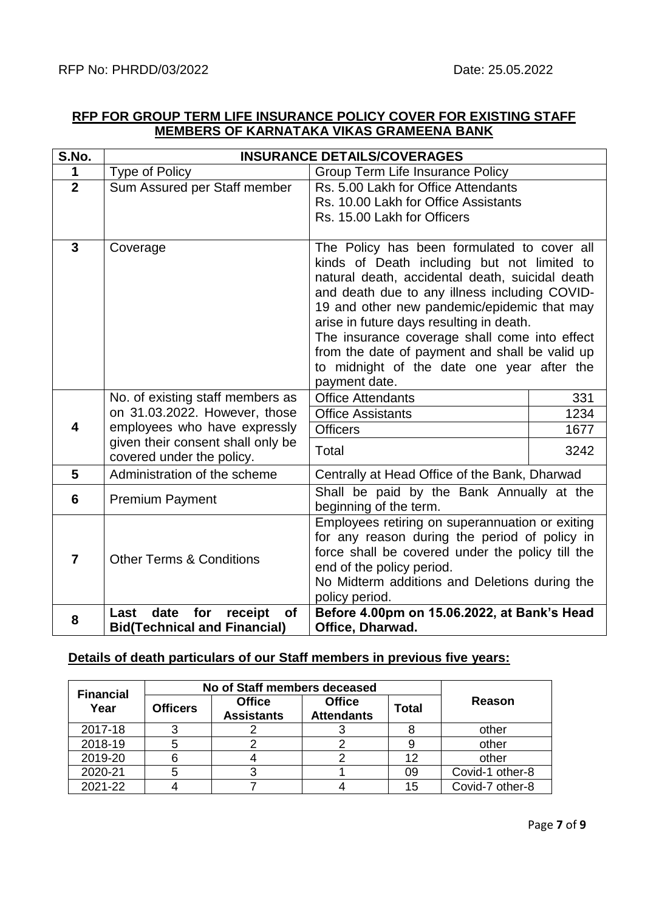### **RFP FOR GROUP TERM LIFE INSURANCE POLICY COVER FOR EXISTING STAFF MEMBERS OF KARNATAKA VIKAS GRAMEENA BANK**

| S.No.                   | <b>INSURANCE DETAILS/COVERAGES</b>                                                                                                                                  |                                                                                                                                                                                                                                                                                                                                                                                                                                                             |                             |  |  |  |
|-------------------------|---------------------------------------------------------------------------------------------------------------------------------------------------------------------|-------------------------------------------------------------------------------------------------------------------------------------------------------------------------------------------------------------------------------------------------------------------------------------------------------------------------------------------------------------------------------------------------------------------------------------------------------------|-----------------------------|--|--|--|
| 1                       | <b>Type of Policy</b>                                                                                                                                               | <b>Group Term Life Insurance Policy</b>                                                                                                                                                                                                                                                                                                                                                                                                                     |                             |  |  |  |
| $\overline{2}$          | Sum Assured per Staff member                                                                                                                                        | Rs. 5.00 Lakh for Office Attendants<br>Rs. 10.00 Lakh for Office Assistants<br>Rs. 15.00 Lakh for Officers                                                                                                                                                                                                                                                                                                                                                  |                             |  |  |  |
| $\overline{\mathbf{3}}$ | Coverage                                                                                                                                                            | The Policy has been formulated to cover all<br>kinds of Death including but not limited to<br>natural death, accidental death, suicidal death<br>and death due to any illness including COVID-<br>19 and other new pandemic/epidemic that may<br>arise in future days resulting in death.<br>The insurance coverage shall come into effect<br>from the date of payment and shall be valid up<br>to midnight of the date one year after the<br>payment date. |                             |  |  |  |
| $\overline{\mathbf{4}}$ | No. of existing staff members as<br>on 31.03.2022. However, those<br>employees who have expressly<br>given their consent shall only be<br>covered under the policy. | <b>Office Attendants</b><br><b>Office Assistants</b><br><b>Officers</b><br>Total                                                                                                                                                                                                                                                                                                                                                                            | 331<br>1234<br>1677<br>3242 |  |  |  |
| 5                       | Administration of the scheme                                                                                                                                        | Centrally at Head Office of the Bank, Dharwad                                                                                                                                                                                                                                                                                                                                                                                                               |                             |  |  |  |
| 6                       | <b>Premium Payment</b>                                                                                                                                              | Shall be paid by the Bank Annually at the<br>beginning of the term.                                                                                                                                                                                                                                                                                                                                                                                         |                             |  |  |  |
| $\overline{7}$          | <b>Other Terms &amp; Conditions</b>                                                                                                                                 | Employees retiring on superannuation or exiting<br>for any reason during the period of policy in<br>force shall be covered under the policy till the<br>end of the policy period.<br>No Midterm additions and Deletions during the<br>policy period.                                                                                                                                                                                                        |                             |  |  |  |
| 8                       | for<br>receipt<br>of<br>Last<br>date<br><b>Bid(Technical and Financial)</b>                                                                                         | Before 4.00pm on 15.06.2022, at Bank's Head<br>Office, Dharwad.                                                                                                                                                                                                                                                                                                                                                                                             |                             |  |  |  |

## **Details of death particulars of our Staff members in previous five years:**

| <b>Financial</b> | No of Staff members deceased |                                    |                                    |              |                 |  |
|------------------|------------------------------|------------------------------------|------------------------------------|--------------|-----------------|--|
| Year             | <b>Officers</b>              | <b>Office</b><br><b>Assistants</b> | <b>Office</b><br><b>Attendants</b> | <b>Total</b> | Reason          |  |
| 2017-18          |                              |                                    |                                    |              | other           |  |
| 2018-19          | 5                            |                                    |                                    |              | other           |  |
| 2019-20          | 6                            |                                    |                                    | 12           | other           |  |
| 2020-21          | 5                            |                                    |                                    | 09           | Covid-1 other-8 |  |
| 2021-22          |                              |                                    |                                    | 15           | Covid-7 other-8 |  |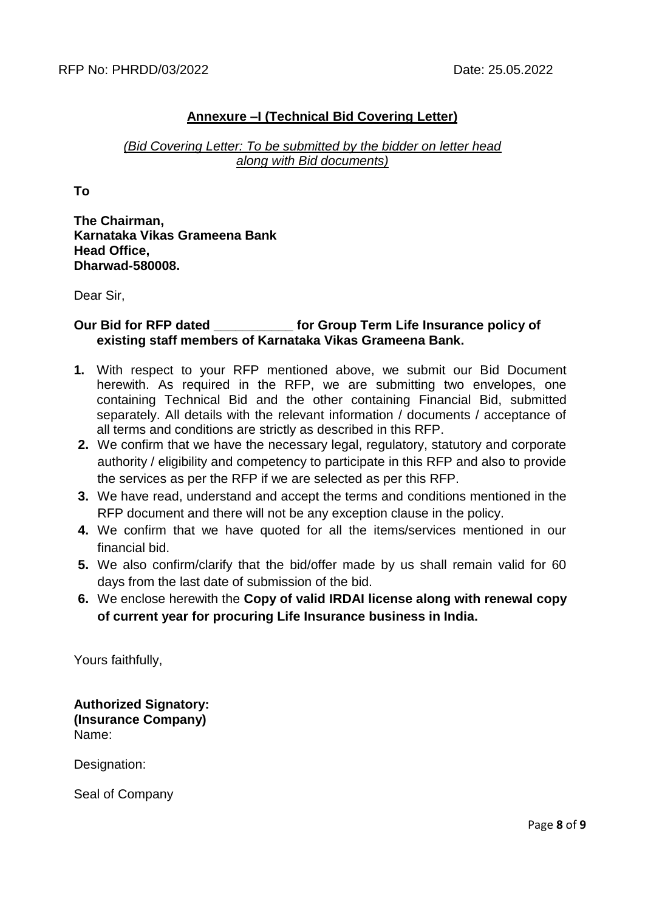# **Annexure –I (Technical Bid Covering Letter)**

### *(Bid Covering Letter: To be submitted by the bidder on letter head along with Bid documents)*

**To**

**The Chairman, Karnataka Vikas Grameena Bank Head Office, Dharwad-580008.**

Dear Sir,

### **Our Bid for RFP dated \_\_\_\_\_\_\_\_\_\_\_ for Group Term Life Insurance policy of existing staff members of Karnataka Vikas Grameena Bank.**

- **1.** With respect to your RFP mentioned above, we submit our Bid Document herewith. As required in the RFP, we are submitting two envelopes, one containing Technical Bid and the other containing Financial Bid, submitted separately. All details with the relevant information / documents / acceptance of all terms and conditions are strictly as described in this RFP.
- **2.** We confirm that we have the necessary legal, regulatory, statutory and corporate authority / eligibility and competency to participate in this RFP and also to provide the services as per the RFP if we are selected as per this RFP.
- **3.** We have read, understand and accept the terms and conditions mentioned in the RFP document and there will not be any exception clause in the policy.
- **4.** We confirm that we have quoted for all the items/services mentioned in our financial bid.
- **5.** We also confirm/clarify that the bid/offer made by us shall remain valid for 60 days from the last date of submission of the bid.
- **6.** We enclose herewith the **Copy of valid IRDAI license along with renewal copy of current year for procuring Life Insurance business in India.**

Yours faithfully,

**Authorized Signatory: (Insurance Company)** Name:

Designation:

Seal of Company